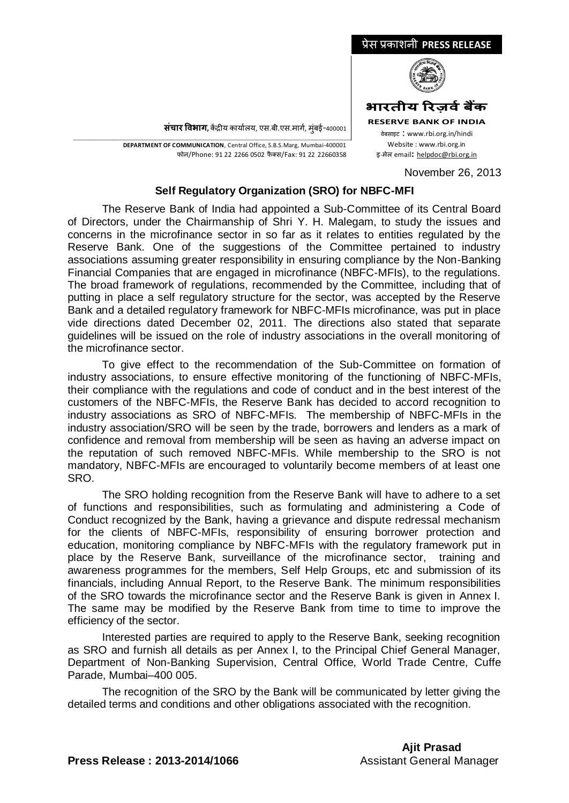

**संचार विभाग,** केंद्रीय कार्यालय, एस.बी.एस.मार्ग, मुंबई-400001

\_\_\_\_\_\_\_\_\_\_\_\_\_\_\_\_\_\_\_\_\_\_\_\_\_\_\_\_\_\_\_\_\_\_\_\_\_\_\_\_\_\_\_\_\_\_\_\_\_\_\_\_\_\_\_\_\_\_\_\_\_\_\_\_\_\_\_\_\_\_\_\_\_\_\_\_\_\_\_\_\_\_\_\_\_\_\_\_\_\_\_\_\_\_\_\_\_\_\_\_\_\_\_\_\_\_\_\_\_\_\_\_\_\_\_\_\_ **DEPARTMENT OF COMMUNICATION**, Central Office, S.B.S.Marg, Mumbai-400001 फोन/Phone: 91 22 2266 0502 फै क्स/Fax: 91 22 22660358

**RESERVE BANK OF INDIA** वेबसाइट : www.rbi.org.in/hindi Website : www.rbi.org.in <sup>इ</sup>-मेल email**:** [helpdoc@rbi.org.in](mailto:helpdoc@rbi.org.in)

November 26, 2013

## **Self Regulatory Organization (SRO) for NBFC-MFI**

The Reserve Bank of India had appointed a Sub-Committee of its Central Board of Directors, under the Chairmanship of Shri Y. H. Malegam, to study the issues and concerns in the microfinance sector in so far as it relates to entities regulated by the Reserve Bank. One of the suggestions of the Committee pertained to industry associations assuming greater responsibility in ensuring compliance by the Non-Banking Financial Companies that are engaged in microfinance (NBFC-MFIs), to the regulations. The broad framework of regulations, recommended by the Committee, including that of putting in place a self regulatory structure for the sector, was accepted by the Reserve Bank and a detailed regulatory framework for NBFC-MFIs microfinance, was put in place vide directions dated December 02, 2011. The directions also stated that separate guidelines will be issued on the role of industry associations in the overall monitoring of the microfinance sector.

To give effect to the recommendation of the Sub-Committee on formation of industry associations, to ensure effective monitoring of the functioning of NBFC-MFIs, their compliance with the regulations and code of conduct and in the best interest of the customers of the NBFC-MFIs, the Reserve Bank has decided to accord recognition to industry associations as SRO of NBFC-MFIs. The membership of NBFC-MFIs in the industry association/SRO will be seen by the trade, borrowers and lenders as a mark of confidence and removal from membership will be seen as having an adverse impact on the reputation of such removed NBFC-MFIs. While membership to the SRO is not mandatory, NBFC-MFIs are encouraged to voluntarily become members of at least one SRO.

The SRO holding recognition from the Reserve Bank will have to adhere to a set of functions and responsibilities, such as formulating and administering a Code of Conduct recognized by the Bank, having a grievance and dispute redressal mechanism for the clients of NBFC-MFIs, responsibility of ensuring borrower protection and education, monitoring compliance by NBFC-MFIs with the regulatory framework put in place by the Reserve Bank, surveillance of the microfinance sector, training and awareness programmes for the members, Self Help Groups, etc and submission of its financials, including Annual Report, to the Reserve Bank. The minimum responsibilities of the SRO towards the microfinance sector and the Reserve Bank is given in Annex I. The same may be modified by the Reserve Bank from time to time to improve the efficiency of the sector.

Interested parties are required to apply to the Reserve Bank, seeking recognition as SRO and furnish all details as per Annex I, to the Principal Chief General Manager, Department of Non-Banking Supervision, Central Office, World Trade Centre, Cuffe Parade, Mumbai–400 005.

The recognition of the SRO by the Bank will be communicated by letter giving the detailed terms and conditions and other obligations associated with the recognition.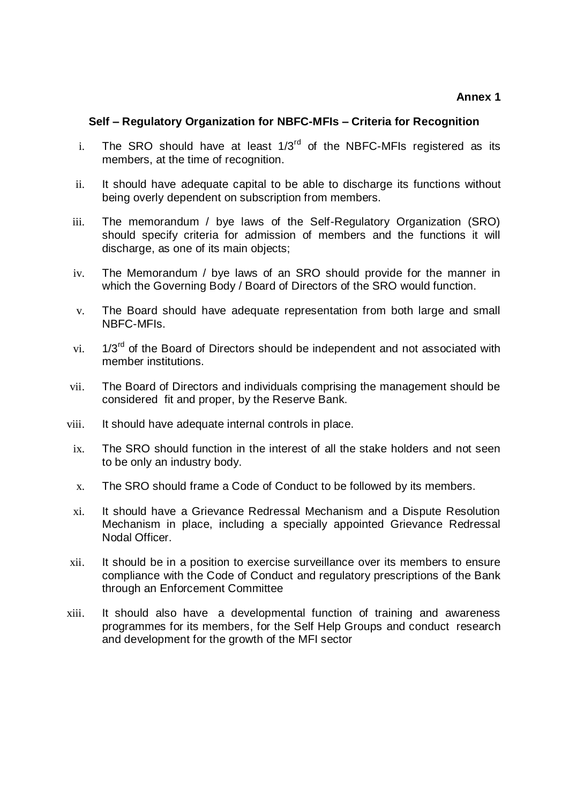## **Annex 1**

## **Self – Regulatory Organization for NBFC-MFIs – Criteria for Recognition**

- i. The SRO should have at least  $1/3<sup>rd</sup>$  of the NBFC-MFIs registered as its members, at the time of recognition.
- ii. It should have adequate capital to be able to discharge its functions without being overly dependent on subscription from members.
- iii. The memorandum / bye laws of the Self-Regulatory Organization (SRO) should specify criteria for admission of members and the functions it will discharge, as one of its main objects;
- iv. The Memorandum / bye laws of an SRO should provide for the manner in which the Governing Body / Board of Directors of the SRO would function.
- v. The Board should have adequate representation from both large and small NBFC-MFIs.
- vi.  $1/3^{rd}$  of the Board of Directors should be independent and not associated with member institutions.
- vii. The Board of Directors and individuals comprising the management should be considered fit and proper, by the Reserve Bank.
- viii. It should have adequate internal controls in place.
- ix. The SRO should function in the interest of all the stake holders and not seen to be only an industry body.
- x. The SRO should frame a Code of Conduct to be followed by its members.
- xi. It should have a Grievance Redressal Mechanism and a Dispute Resolution Mechanism in place, including a specially appointed Grievance Redressal Nodal Officer.
- xii. It should be in a position to exercise surveillance over its members to ensure compliance with the Code of Conduct and regulatory prescriptions of the Bank through an Enforcement Committee
- xiii. It should also have a developmental function of training and awareness programmes for its members, for the Self Help Groups and conduct research and development for the growth of the MFI sector